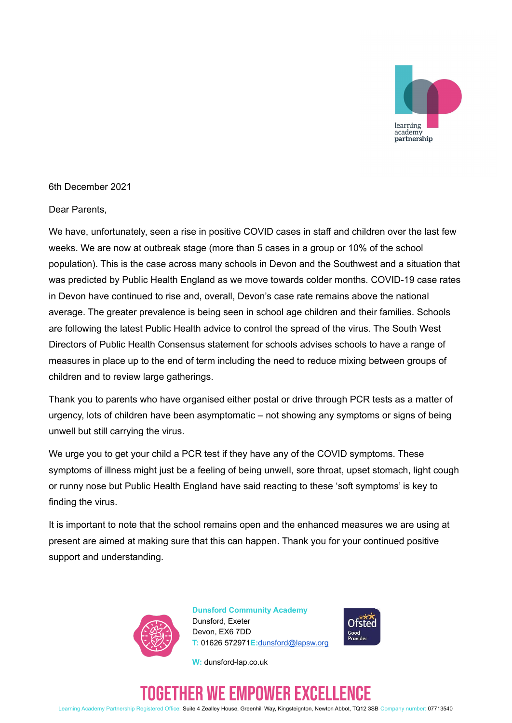

6th December 2021

Dear Parents,

We have, unfortunately, seen a rise in positive COVID cases in staff and children over the last few weeks. We are now at outbreak stage (more than 5 cases in a group or 10% of the school population). This is the case across many schools in Devon and the Southwest and a situation that was predicted by Public Health England as we move towards colder months. COVID-19 case rates in Devon have continued to rise and, overall, Devon's case rate remains above the national average. The greater prevalence is being seen in school age children and their families. Schools are following the latest Public Health advice to control the spread of the virus. The South West Directors of Public Health Consensus statement for schools advises schools to have a range of measures in place up to the end of term including the need to reduce mixing between groups of children and to review large gatherings.

Thank you to parents who have organised either postal or drive through PCR tests as a matter of urgency, lots of children have been asymptomatic – not showing any symptoms or signs of being unwell but still carrying the virus.

We urge you to get your child a PCR test if they have any of the COVID symptoms. These symptoms of illness might just be a feeling of being unwell, sore throat, upset stomach, light cough or runny nose but Public Health England have said reacting to these 'soft symptoms' is key to finding the virus.

It is important to note that the school remains open and the enhanced measures we are using at present are aimed at making sure that this can happen. Thank you for your continued positive support and understanding.



**Dunsford Community Academy** Dunsford, Exeter Devon, EX6 7DD **T:** 01626 572971**E:**[dunsford@lapsw.org](mailto:dunsford@lapsw.org)

**W:** dunsford-lap.co.uk



# ETHER WE EMPOWER EXCELL

Learning Academy Partnership Registered Office: Suite 4 Zealley House, Greenhill Way, Kingsteignton, Newton Abbot, TQ12 3SB Company number: 07713540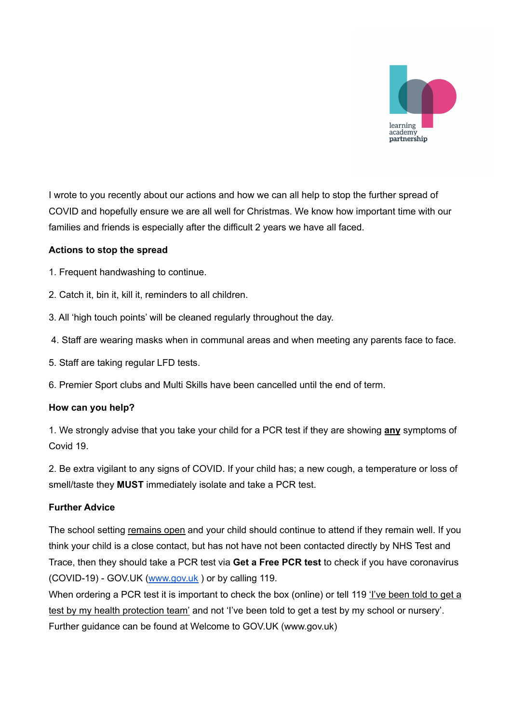

I wrote to you recently about our actions and how we can all help to stop the further spread of COVID and hopefully ensure we are all well for Christmas. We know how important time with our families and friends is especially after the difficult 2 years we have all faced.

#### **Actions to stop the spread**

- 1. Frequent handwashing to continue.
- 2. Catch it, bin it, kill it, reminders to all children.
- 3. All 'high touch points' will be cleaned regularly throughout the day.
- 4. Staff are wearing masks when in communal areas and when meeting any parents face to face.
- 5. Staff are taking regular LFD tests.
- 6. Premier Sport clubs and Multi Skills have been cancelled until the end of term.

#### **How can you help?**

1. We strongly advise that you take your child for a PCR test if they are showing **any** symptoms of Covid 19.

2. Be extra vigilant to any signs of COVID. If your child has; a new cough, a temperature or loss of smell/taste they **MUST** immediately isolate and take a PCR test.

## **Further Advice**

The school setting remains open and your child should continue to attend if they remain well. If you think your child is a close contact, but has not have not been contacted directly by NHS Test and Trace, then they should take a PCR test via **Get a Free PCR test** to check if you have coronavirus (COVID-19) - GOV.UK ([www.gov.uk](http://www.gov.uk) ) or by calling 119.

When ordering a PCR test it is important to check the box (online) or tell 119 'I've been told to get a test by my health protection team' and not 'I've been told to get a test by my school or nursery'. Further guidance can be found at Welcome to GOV.UK (www.gov.uk)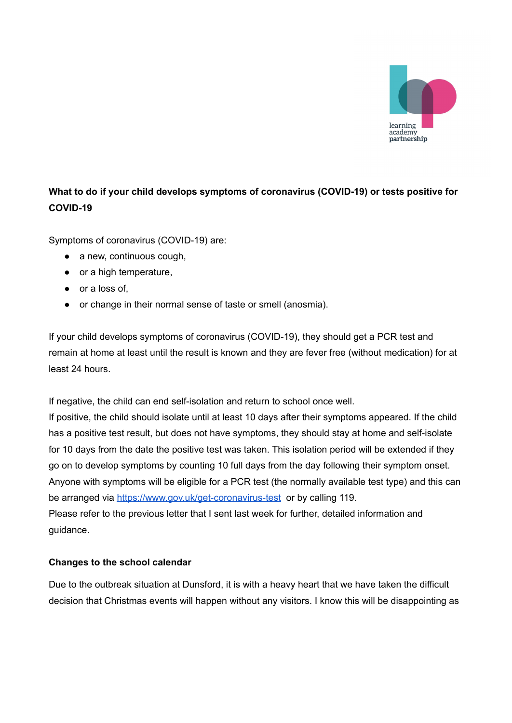

# **What to do if your child develops symptoms of coronavirus (COVID-19) or tests positive for COVID-19**

Symptoms of coronavirus (COVID-19) are:

- $\bullet$  a new, continuous cough,
- or a high temperature,
- or a loss of,
- or change in their normal sense of taste or smell (anosmia).

If your child develops symptoms of coronavirus (COVID-19), they should get a PCR test and remain at home at least until the result is known and they are fever free (without medication) for at least 24 hours.

If negative, the child can end self-isolation and return to school once well.

If positive, the child should isolate until at least 10 days after their symptoms appeared. If the child has a positive test result, but does not have symptoms, they should stay at home and self-isolate for 10 days from the date the positive test was taken. This isolation period will be extended if they go on to develop symptoms by counting 10 full days from the day following their symptom onset. Anyone with symptoms will be eligible for a PCR test (the normally available test type) and this can be arranged via <https://www.gov.uk/get-coronavirus-test> or by calling 119. Please refer to the previous letter that I sent last week for further, detailed information and guidance.

## **Changes to the school calendar**

Due to the outbreak situation at Dunsford, it is with a heavy heart that we have taken the difficult decision that Christmas events will happen without any visitors. I know this will be disappointing as